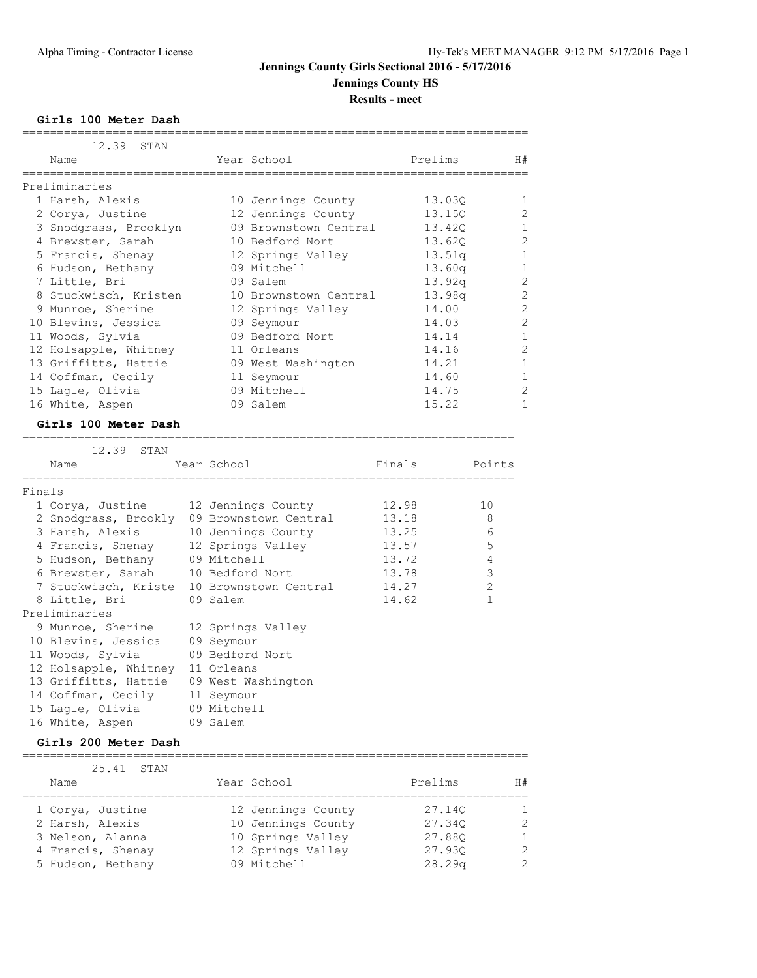## **Jennings County Girls Sectional 2016 - 5/17/2016 Jennings County HS**

**Results - meet**

**Girls 100 Meter Dash**

|        | 12.39 STAN<br>Name                            |             | Year School                               |                | Prelims |                     | H#             |
|--------|-----------------------------------------------|-------------|-------------------------------------------|----------------|---------|---------------------|----------------|
|        | . _ _ _ _ _ _ _ _ _ _                         |             | -------------------<br>------------------ |                |         |                     |                |
|        | Preliminaries                                 |             |                                           |                |         |                     |                |
|        | 1 Harsh, Alexis                               |             | 10 Jennings County                        |                | 13.030  |                     | 1              |
|        | 2 Corya, Justine                              |             | 12 Jennings County                        |                | 13.150  |                     | 2              |
|        | 3 Snodgrass, Brooklyn                         |             | 09 Brownstown Central                     |                | 13.420  |                     | $\mathbf 1$    |
|        | 4 Brewster, Sarah                             |             | 10 Bedford Nort                           |                | 13.620  |                     | 2              |
|        | 5 Francis, Shenay                             |             | 12 Springs Valley                         |                | 13.51q  |                     | $\mathbf 1$    |
|        | 6 Hudson, Bethany                             |             | 09 Mitchell                               |                | 13.60q  |                     | 1              |
|        | 7 Little, Bri                                 |             | 09 Salem                                  |                | 13.92q  |                     | 2              |
|        | 8 Stuckwisch, Kristen                         |             | 10 Brownstown Central                     |                | 13.98q  |                     | 2              |
|        | 9 Munroe, Sherine                             |             | 12 Springs Valley                         |                | 14.00   |                     | $\overline{2}$ |
|        | 10 Blevins, Jessica                           |             | 09 Seymour                                |                | 14.03   |                     | $\overline{2}$ |
|        | 11 Woods, Sylvia                              |             | 09 Bedford Nort                           |                | 14.14   |                     | 1              |
|        | 12 Holsapple, Whitney                         |             | 11 Orleans                                |                | 14.16   |                     | $\overline{2}$ |
|        | 13 Griffitts, Hattie                          |             | 09 West Washington                        |                | 14.21   |                     | 1              |
|        | 14 Coffman, Cecily                            |             | 11 Seymour                                |                | 14.60   |                     | 1              |
|        | 15 Lagle, Olivia                              |             | 09 Mitchell                               |                | 14.75   |                     | $\overline{c}$ |
|        | 16 White, Aspen                               |             | 09 Salem                                  |                | 15.22   |                     | 1              |
|        | Girls 100 Meter Dash                          |             |                                           |                |         |                     |                |
|        | 12.39 STAN                                    |             |                                           |                |         |                     |                |
|        | Name                                          | Year School |                                           | Finals         |         | Points              |                |
|        | _____________                                 |             |                                           |                |         |                     |                |
| Finals |                                               |             |                                           |                |         |                     |                |
|        | 1 Corya, Justine                              |             | 12 Jennings County                        | 12.98          |         | 10                  |                |
|        | 2 Snodgrass, Brookly 09 Brownstown Central    |             |                                           | 13.18          |         | 8                   |                |
|        | 3 Harsh, Alexis                               |             | 10 Jennings County                        | 13.25          |         | 6                   |                |
|        | 4 Francis, Shenay                             |             | 12 Springs Valley                         | 13.57          |         | 5                   |                |
|        | 5 Hudson, Bethany                             | 09 Mitchell |                                           | 13.72          |         | 4                   |                |
|        | 6 Brewster, Sarah                             |             | 10 Bedford Nort                           | 13.78<br>14.27 |         | 3<br>$\overline{2}$ |                |
|        | 7 Stuckwisch, Kriste 10 Brownstown Central    |             |                                           |                |         | $\mathbf 1$         |                |
|        | 8 Little, Bri<br>Preliminaries                | 09 Salem    |                                           | 14.62          |         |                     |                |
|        | 9 Munroe, Sherine                             |             |                                           |                |         |                     |                |
|        |                                               |             | 12 Springs Valley                         |                |         |                     |                |
|        | 10 Blevins, Jessica                           | 09 Seymour  |                                           |                |         |                     |                |
|        | 11 Woods, Sylvia                              |             | 09 Bedford Nort                           |                |         |                     |                |
|        | 12 Holsapple, Whitney<br>13 Griffitts, Hattie | 11 Orleans  |                                           |                |         |                     |                |
|        | 14 Coffman, Cecily                            | 11 Seymour  | 09 West Washington                        |                |         |                     |                |
|        | 15 Lagle, Olivia                              | 09 Mitchell |                                           |                |         |                     |                |
|        | 16 White, Aspen                               | 09 Salem    |                                           |                |         |                     |                |
|        |                                               |             |                                           |                |         |                     |                |
|        | Girls 200 Meter Dash                          |             |                                           |                |         |                     |                |
|        |                                               |             |                                           |                |         |                     |                |

|      | 25.41 STAN        |                    |         |               |
|------|-------------------|--------------------|---------|---------------|
| Name |                   | Year School        | Prelims | H#            |
|      | 1 Corya, Justine  | 12 Jennings County | 27.140  | -1            |
|      | 2 Harsh, Alexis   | 10 Jennings County | 27.340  | $\mathcal{L}$ |
|      | 3 Nelson, Alanna  | 10 Springs Valley  | 27.880  | $\mathbf{1}$  |
|      | 4 Francis, Shenay | 12 Springs Valley  | 27.930  | $\mathcal{L}$ |
|      | 5 Hudson, Bethany | 09 Mitchell        | 28.29q  | $\mathcal{L}$ |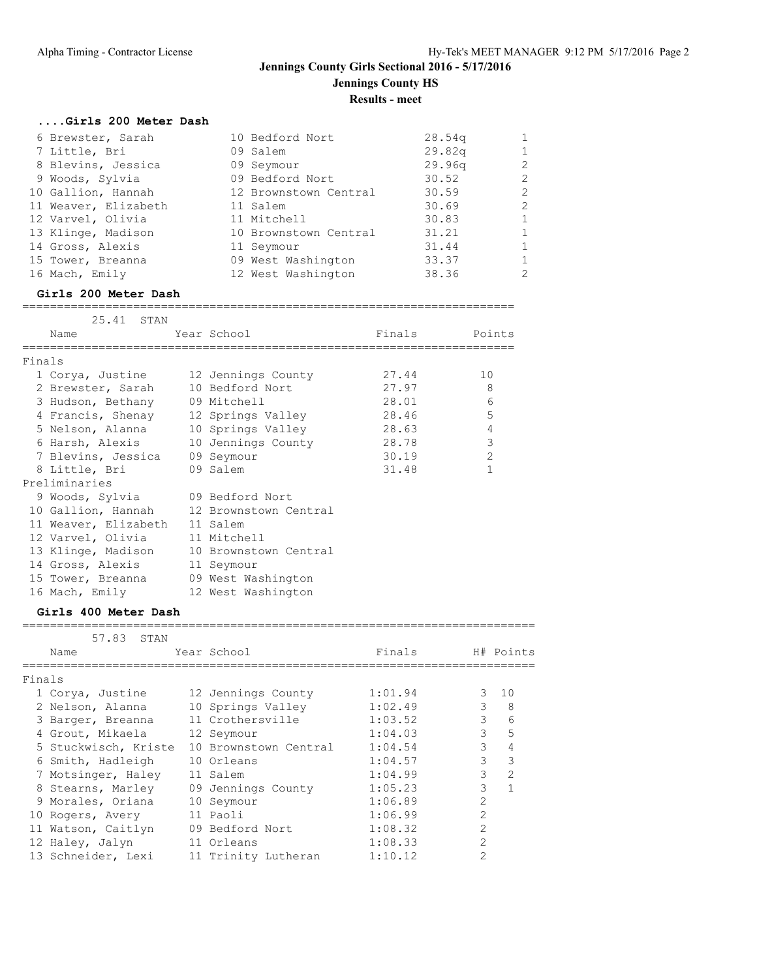## **Jennings County Girls Sectional 2016 - 5/17/2016 Jennings County HS Results - meet**

| Girls 200 Meter Dash |                       |        |                |
|----------------------|-----------------------|--------|----------------|
| 6 Brewster, Sarah    | 10 Bedford Nort       | 28.54q | $\mathbf{1}$   |
| 7 Little, Bri        | 09 Salem              | 29.82q | $\mathbf{1}$   |
| 8 Blevins, Jessica   | 09 Seymour            | 29.96q | $\overline{2}$ |
| 9 Woods, Sylvia      | 09 Bedford Nort       | 30.52  | $\overline{2}$ |
| 10 Gallion, Hannah   | 12 Brownstown Central | 30.59  | $\overline{2}$ |
| 11 Weaver, Elizabeth | 11 Salem              | 30.69  | $\overline{2}$ |
| 12 Varvel, Olivia    | 11 Mitchell           | 30.83  | $\mathbf{1}$   |
| 13 Klinge, Madison   | 10 Brownstown Central | 31.21  | $\mathbf{1}$   |
| 14 Gross, Alexis     | 11 Seymour            | 31.44  | $\mathbf{1}$   |
| 15 Tower, Breanna    | 09 West Washington    | 33.37  | $\mathbf{1}$   |
| 16 Mach, Emily       | 12 West Washington    | 38.36  | $\overline{2}$ |

#### **Girls 200 Meter Dash** =======================================================================

|        | 25.41 STAN                           |                                           |               |                |
|--------|--------------------------------------|-------------------------------------------|---------------|----------------|
|        | Name                                 | Year School                               | Finals Points |                |
| Finals |                                      |                                           |               |                |
|        |                                      | 1 Corya, Justine 12 Jennings County       | 27.44         | 10             |
|        | 2 Brewster, Sarah 10 Bedford Nort    |                                           | 27.97         | 8              |
|        | 3 Hudson, Bethany 09 Mitchell        |                                           | 28.01         | 6              |
|        |                                      | 4 Francis, Shenay 12 Springs Valley 28.46 |               | 5              |
|        |                                      | 5 Nelson, Alanna 10 Springs Valley        | 28.63         | $\overline{4}$ |
|        |                                      |                                           | 28.78         | 3              |
|        | 7 Blevins, Jessica 09 Seymour        |                                           | 30.19         | $\overline{2}$ |
|        | 8 Little, Bri 09 Salem               |                                           | 31.48         | $\mathbf{1}$   |
|        | Preliminaries                        |                                           |               |                |
|        | 9 Woods, Sylvia 09 Bedford Nort      |                                           |               |                |
|        |                                      | 10 Gallion, Hannah 12 Brownstown Central  |               |                |
|        | 11 Weaver, Elizabeth 11 Salem        |                                           |               |                |
|        | 12 Varvel, Olivia 11 Mitchell        |                                           |               |                |
|        |                                      | 13 Klinge, Madison 10 Brownstown Central  |               |                |
|        | 14 Gross, Alexis 11 Seymour          |                                           |               |                |
|        | 15 Tower, Breanna 09 West Washington |                                           |               |                |
|        | 16 Mach, Emily 12 West Washington    |                                           |               |                |

#### **Girls 400 Meter Dash**

#### ==========================================================================

|        | 57.83 STAN           |                       |         |                |               |
|--------|----------------------|-----------------------|---------|----------------|---------------|
|        | Name                 | Year School           | Finals  |                | H# Points     |
| Finals |                      |                       |         |                |               |
|        |                      |                       |         |                |               |
|        | 1 Corya, Justine     | 12 Jennings County    | 1:01.94 | 3              | 10            |
|        | 2 Nelson, Alanna     | 10 Springs Valley     | 1:02.49 | 3              | 8             |
|        | 3 Barger, Breanna    | 11 Crothersville      | 1:03.52 | $\mathcal{E}$  | 6             |
|        | 4 Grout, Mikaela     | 12 Seymour            | 1:04.03 | 3              | 5             |
|        | 5 Stuckwisch, Kriste | 10 Brownstown Central | 1:04.54 | 3              | 4             |
|        | 6 Smith, Hadleigh    | 10 Orleans            | 1:04.57 | 3              | 3             |
|        | 7 Motsinger, Haley   | 11 Salem              | 1:04.99 | 3              | $\mathcal{L}$ |
|        | 8 Stearns, Marley    | 09 Jennings County    | 1:05.23 | 3              | $\mathbf{1}$  |
|        | 9 Morales, Oriana    | 10 Seymour            | 1:06.89 | $\overline{2}$ |               |
|        | 10 Rogers, Avery     | 11 Paoli              | 1:06.99 | $\mathfrak{D}$ |               |
|        | 11 Watson, Caitlyn   | 09 Bedford Nort       | 1:08.32 | $\overline{2}$ |               |
|        | 12 Haley, Jalyn      | 11 Orleans            | 1:08.33 | $\mathfrak{D}$ |               |
|        | 13 Schneider, Lexi   | 11 Trinity Lutheran   | 1:10.12 | $\mathfrak{D}$ |               |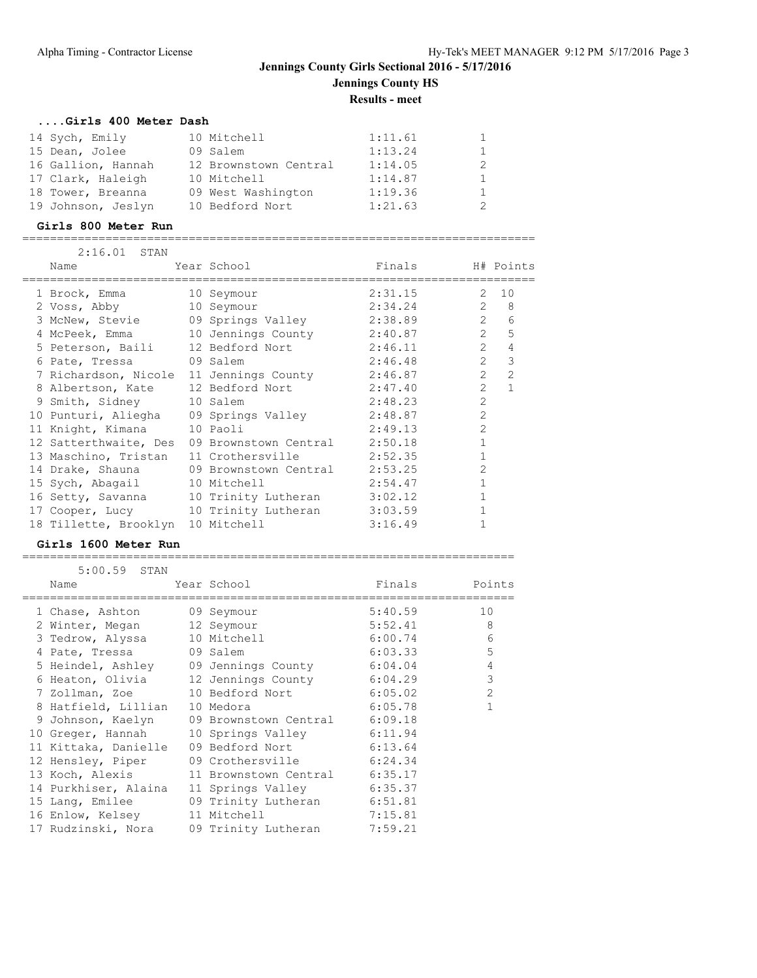## **Jennings County Girls Sectional 2016 - 5/17/2016 Jennings County HS Results - meet**

### **....Girls 400 Meter Dash**

| 14 Sych, Emily     | 10 Mitchell           | 1:11.61 |  |
|--------------------|-----------------------|---------|--|
| 15 Dean, Jolee     | 09 Salem              | 1:13.24 |  |
| 16 Gallion, Hannah | 12 Brownstown Central | 1:14.05 |  |
| 17 Clark, Haleigh  | 10 Mitchell           | 1:14.87 |  |
| 18 Tower, Breanna  | 09 West Washington    | 1:19.36 |  |
| 19 Johnson, Jeslyn | 10 Bedford Nort       | 1:21.63 |  |
|                    |                       |         |  |

### **Girls 800 Meter Run**

==========================================================================

| 2:16.01 STAN                      |                                                 |                  |                |                  |
|-----------------------------------|-------------------------------------------------|------------------|----------------|------------------|
| Name                              | Year School                                     | Finals H# Points |                |                  |
| 1 Brock, Emma                     | 10 Seymour                                      | 2:31.15 2 10     |                |                  |
| 2 Voss, Abby                      | 10 Seymour                                      | 2:34.24          |                | $2 \quad 8$      |
| 3 McNew, Stevie                   | 09 Springs Valley                               | 2:38.89          |                | $2^{\circ}$<br>6 |
| 4 McPeek, Emma                    | 10 Jennings County 2:40.87                      |                  |                | $2^{\circ}$<br>5 |
|                                   | 5 Peterson, Baili 12 Bedford Nort 2:46.11       |                  | $\overline{2}$ | 4                |
| 6 Pate, Tressa (9 Salem           |                                                 | 2:46.48          | $\overline{2}$ | 3                |
|                                   | 7 Richardson, Nicole 11 Jennings County 2:46.87 |                  | $\overline{2}$ | $\overline{2}$   |
|                                   | 8 Albertson, Kate 12 Bedford Nort 2:47.40       |                  | $\mathcal{L}$  | $\mathbf{1}$     |
| 9 Smith, Sidney                   | 10 Salem                                        | 2:48.23          | $\overline{2}$ |                  |
|                                   | 10 Punturi, Aliegha 09 Springs Valley 2:48.87   |                  | $\mathcal{L}$  |                  |
| 11 Knight, Kimana                 | 10 Paoli                                        | 2:49.13          | $\overline{2}$ |                  |
| 12 Satterthwaite, Des             | 09 Brownstown Central 2:50.18                   |                  |                |                  |
| 13 Maschino, Tristan              | 11 Crothersville 2:52.35                        |                  | $\mathbf{1}$   |                  |
| 14 Drake, Shauna                  | 09 Brownstown Central                           | 2:53.25          | $\overline{2}$ |                  |
| 15 Sych, Abagail                  | 10 Mitchell                                     | 2:54.47          | $\mathbf{1}$   |                  |
| 16 Setty, Savanna                 | 10 Trinity Lutheran 3:02.12                     |                  | $\mathbf{1}$   |                  |
|                                   | 17 Cooper, Lucy 10 Trinity Lutheran 3:03.59     |                  |                |                  |
| 18 Tillette, Brooklyn 10 Mitchell |                                                 | 3:16.49          |                |                  |

### **Girls 1600 Meter Run**

| $5:00.59$ STAN                |                                                 |         |                |
|-------------------------------|-------------------------------------------------|---------|----------------|
| Name                          | Year School                                     | Finals  | Points         |
| 1 Chase, Ashton 09 Seymour    |                                                 | 5:40.59 | 10             |
| 2 Winter, Megan 12 Seymour    |                                                 | 5:52.41 | 8              |
| 3 Tedrow, Alyssa 10 Mitchell  |                                                 | 6:00.74 | 6              |
| 4 Pate, Tressa 09 Salem       |                                                 | 6:03.33 | 5              |
|                               | 5 Heindel, Ashley 09 Jennings County 6:04.04    |         | $\overline{4}$ |
|                               | 6 Heaton, Olivia 12 Jennings County             | 6:04.29 | 3              |
|                               | 7 Zollman, Zoe 10 Bedford Nort 6:05.02          |         | $\mathcal{P}$  |
| 8 Hatfield, Lillian 10 Medora |                                                 | 6:05.78 |                |
|                               | 9 Johnson, Kaelyn 09 Brownstown Central 6:09.18 |         |                |
|                               | 10 Greger, Hannah 10 Springs Valley             | 6:11.94 |                |
|                               | 11 Kittaka, Danielle 09 Bedford Nort 6:13.64    |         |                |
| 12 Hensley, Piper             | 09 Crothersville 6:24.34                        |         |                |
|                               | 13 Koch, Alexis 11 Brownstown Central 6:35.17   |         |                |
| 14 Purkhiser, Alaina          | 11 Springs Valley 6:35.37                       |         |                |
|                               | 15 Lang, Emilee 69 Trinity Lutheran             | 6:51.81 |                |
| 16 Enlow, Kelsey 11 Mitchell  |                                                 | 7:15.81 |                |
|                               | 17 Rudzinski, Nora 19 Trinity Lutheran          | 7:59.21 |                |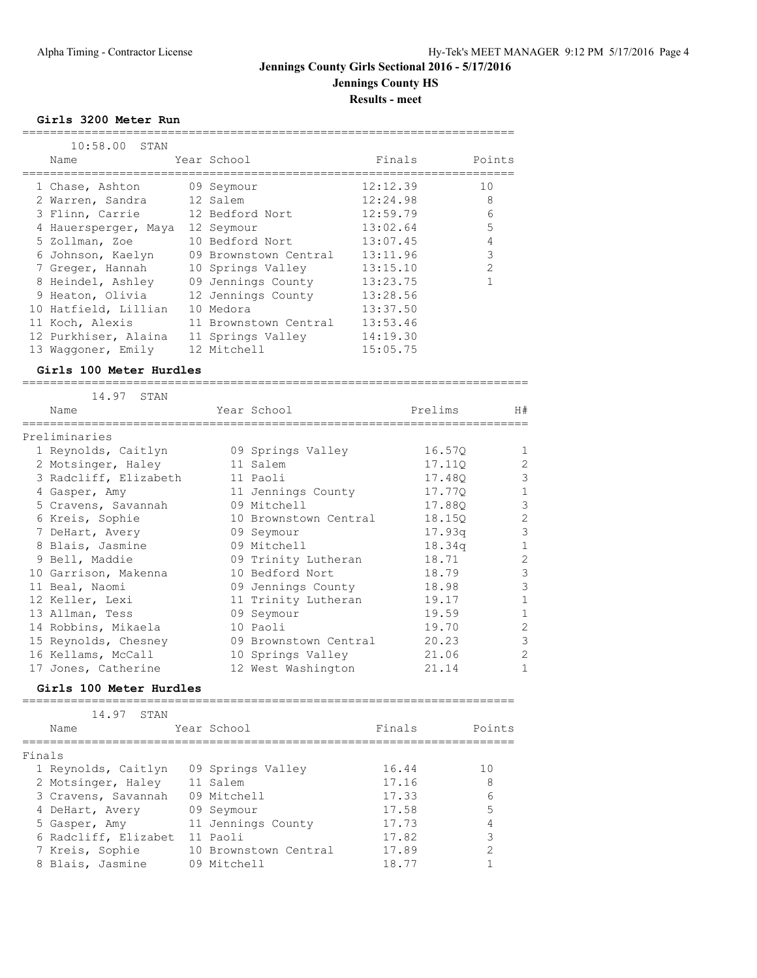## **Jennings County Girls Sectional 2016 - 5/17/2016 Jennings County HS Results - meet**

**Girls 3200 Meter Run**

| 10:58.00<br>STAN                |                                              |                          |         |                     |
|---------------------------------|----------------------------------------------|--------------------------|---------|---------------------|
| Name                            | Year School                                  | Finals<br>============== |         | Points<br>--------- |
| 1 Chase, Ashton                 | 09 Seymour                                   | 12:12.39                 |         | 10                  |
| 2 Warren, Sandra                | 12 Salem                                     | 12:24.98                 |         | 8                   |
| 3 Flinn, Carrie                 | 12 Bedford Nort                              | 12:59.79                 |         | 6                   |
| 4 Hauersperger, Maya 12 Seymour |                                              | 13:02.64                 |         | 5                   |
| 5 Zollman, Zoe                  | 10 Bedford Nort                              | 13:07.45                 |         | 4                   |
| 6 Johnson, Kaelyn               | 09 Brownstown Central                        | 13:11.96                 |         | $\mathfrak{Z}$      |
| 7 Greger, Hannah                | 10 Springs Valley                            | 13:15.10                 |         | $\overline{2}$      |
| 8 Heindel, Ashley               | 09 Jennings County                           | 13:23.75                 |         | $\mathbf 1$         |
| 9 Heaton, Olivia                | 12 Jennings County                           | 13:28.56                 |         |                     |
| 10 Hatfield, Lillian            | 10 Medora                                    | 13:37.50                 |         |                     |
| 11 Koch, Alexis                 | 11 Brownstown Central                        | 13:53.46                 |         |                     |
| 12 Purkhiser, Alaina            | 11 Springs Valley                            | 14:19.30                 |         |                     |
| 13 Waggoner, Emily              | 12 Mitchell                                  | 15:05.75                 |         |                     |
| Girls 100 Meter Hurdles         |                                              |                          |         |                     |
| 14.97<br>STAN                   |                                              |                          |         |                     |
| Name<br>____________________    | Year School<br>----------------------------- |                          | Prelims | H#                  |
| Preliminaries                   |                                              |                          |         |                     |
| 1 Reynolds, Caitlyn             | 09 Springs Valley                            |                          | 16.57Q  | 1                   |
| 2 Motsinger, Haley              | 11 Salem                                     |                          | 17.110  | $\overline{c}$      |
| 3 Radcliff, Elizabeth           | 11 Paoli                                     |                          | 17.48Q  | 3                   |
| 4 Gasper, Amy                   | 11 Jennings County                           |                          | 17.77Q  | $\mathbf{1}$        |
| 5 Cravens, Savannah             | 09 Mitchell                                  |                          | 17.88Q  | 3                   |
| 6 Kreis, Sophie                 | 10 Brownstown Central                        |                          | 18.15Q  | $\overline{2}$      |
| 7 DeHart, Avery                 | 09 Seymour                                   |                          | 17.93q  | 3                   |
| 8 Blais, Jasmine                | 09 Mitchell                                  |                          | 18.34q  | $\mathbf{1}$        |
| 9 Bell, Maddie                  | 09 Trinity Lutheran                          |                          | 18.71   | $\overline{c}$      |
| 10 Garrison, Makenna            | 10 Bedford Nort                              |                          | 18.79   | 3                   |
| 11 Beal, Naomi                  | 09 Jennings County                           |                          | 18.98   | 3                   |
| 12 Keller, Lexi                 | 11 Trinity Lutheran                          |                          | 19.17   | $\mathbf 1$         |
| 13 Allman, Tess                 | 09 Seymour                                   |                          | 19.59   | $\mathbf{1}$        |
| 14 Robbins, Mikaela             | 10 Paoli                                     |                          | 19.70   | $\overline{c}$      |
| 15 Reynolds, Chesney            | 09 Brownstown Central                        |                          | 20.23   | 3                   |
| 16 Kellams, McCall              | 10 Springs Valley                            |                          | 21.06   | 2                   |
| 17 Jones, Catherine             | 12 West Washington                           |                          | 21.14   | 1                   |
| Girls 100 Meter Hurdles         |                                              |                          |         |                     |
| 14.97<br>STAN                   |                                              |                          |         |                     |

| Name                 | Year School           | Finals | Points |
|----------------------|-----------------------|--------|--------|
| Finals               |                       |        |        |
| 1 Reynolds, Caitlyn  | 09 Springs Valley     | 16.44  | 10     |
| 2 Motsinger, Haley   | 11 Salem              | 17.16  | 8      |
| 3 Cravens, Savannah  | 09 Mitchell           | 17.33  | 6      |
| 4 DeHart, Avery      | 09 Seymour            | 17.58  | 5      |
| 5 Gasper, Amy        | 11 Jennings County    | 17.73  |        |
| 6 Radcliff, Elizabet | 11 Paoli              | 17.82  | 3      |
| 7 Kreis, Sophie      | 10 Brownstown Central | 17.89  | 2      |
| 8 Blais, Jasmine     | 09 Mitchell           | 18.77  |        |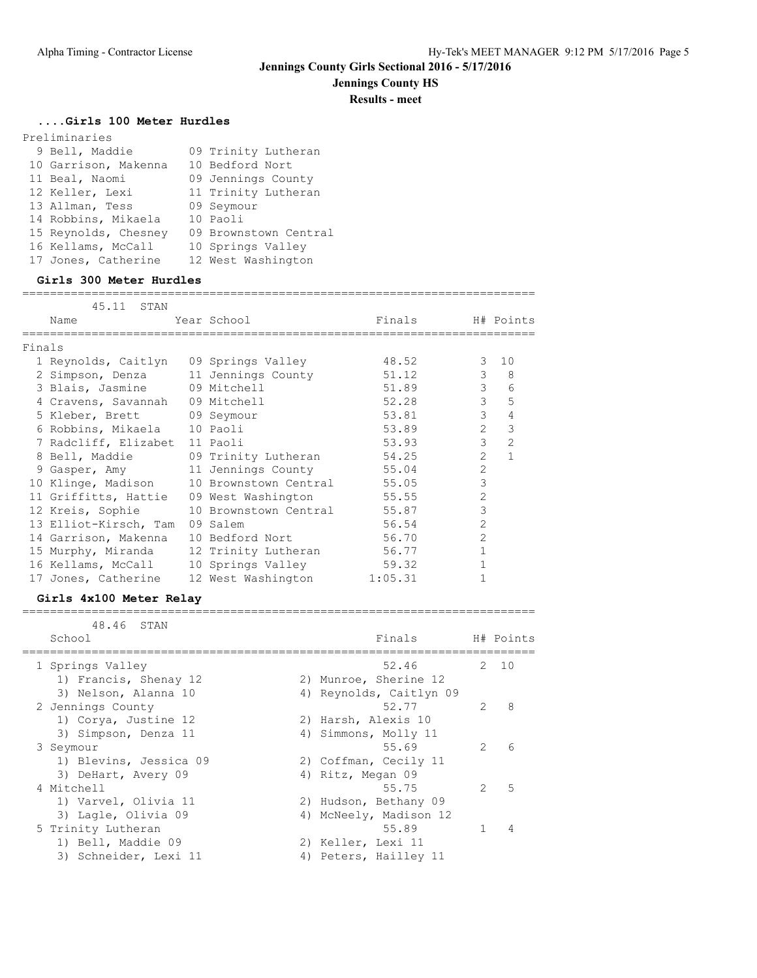## **Jennings County HS**

**Results - meet**

==========================================================================

### **....Girls 100 Meter Hurdles**

| Preliminaries        |                       |
|----------------------|-----------------------|
| 9 Bell, Maddie       | 09 Trinity Lutheran   |
| 10 Garrison, Makenna | 10 Bedford Nort       |
| 11 Beal, Naomi       | 09 Jennings County    |
| 12 Keller, Lexi      | 11 Trinity Lutheran   |
| 13 Allman, Tess      | 09 Seymour            |
| 14 Robbins, Mikaela  | 10 Paoli              |
| 15 Reynolds, Chesney | 09 Brownstown Central |
| 16 Kellams, McCall   | 10 Springs Valley     |
| 17 Jones, Catherine  | 12 West Washington    |
|                      |                       |

### **Girls 300 Meter Hurdles**

|        | 45.11 STAN                            |                                                |                  |                |                |
|--------|---------------------------------------|------------------------------------------------|------------------|----------------|----------------|
|        | Name                                  | Year School                                    | Finals H# Points |                |                |
| Finals |                                       |                                                |                  |                |                |
|        | 1 Reynolds, Caitlyn 09 Springs Valley |                                                | 48.52            |                | $3 \quad 10$   |
|        |                                       | 2 Simpson, Denza 11 Jennings County            | 51.12            | 3              | 8              |
|        | 3 Blais, Jasmine 09 Mitchell          |                                                | 51.89            | 3              | 6              |
|        | 4 Cravens, Savannah 09 Mitchell       |                                                | 52.28            | $\mathcal{E}$  | 5              |
|        | 5 Kleber, Brett 09 Seymour            |                                                | 53.81            | 3              | $\overline{4}$ |
|        | 6 Robbins, Mikaela 10 Paoli           |                                                | 53.89            | $\mathcal{L}$  | 3              |
|        | 7 Radcliff, Elizabet 11 Paoli         |                                                | 53.93            | 3              | $\overline{2}$ |
|        |                                       | 8 Bell, Maddie 69 Trinity Lutheran             | 54.25            | $\mathcal{L}$  | $\mathbf{1}$   |
|        |                                       | 9 Gasper, Amy 11 Jennings County 55.04         |                  | $\overline{2}$ |                |
|        |                                       | 10 Klinge, Madison 10 Brownstown Central 55.05 |                  | 3              |                |
|        | 11 Griffitts, Hattie                  | 09 West Washington                             | 55.55            | $\overline{2}$ |                |
|        | 12 Kreis, Sophie                      | 10 Brownstown Central 55.87                    |                  | 3              |                |
|        | 13 Elliot-Kirsch, Tam                 | 09 Salem                                       | 56.54            | $\overline{2}$ |                |
|        | 14 Garrison, Makenna                  | 10 Bedford Nort                                | 56.70            | $\mathcal{L}$  |                |
|        | 15 Murphy, Miranda                    | 12 Trinity Lutheran                            | 56.77            | $\mathbf{1}$   |                |
|        | 16 Kellams, McCall                    | 10 Springs Valley                              | 59.32            |                |                |
|        | 17 Jones, Catherine                   | 12 West Washington 1:05.31                     |                  |                |                |

### **Girls 4x100 Meter Relay**

| 48.46 STAN             |  |                         |               |           |
|------------------------|--|-------------------------|---------------|-----------|
| School                 |  | Finals                  |               | H# Points |
| 1 Springs Valley       |  | 52.46                   |               | 2, 10     |
| 1) Francis, Shenay 12  |  | 2) Munroe, Sherine 12   |               |           |
| 3) Nelson, Alanna 10   |  | 4) Reynolds, Caitlyn 09 |               |           |
| 2 Jennings County      |  | 52.77                   | $\mathcal{P}$ | 8         |
| 1) Corya, Justine 12   |  | 2) Harsh, Alexis 10     |               |           |
| 3) Simpson, Denza 11   |  | 4) Simmons, Molly 11    |               |           |
| 3 Seymour              |  | 55.69                   | $\mathcal{L}$ | 6         |
| 1) Blevins, Jessica 09 |  | 2) Coffman, Cecily 11   |               |           |
| 3) DeHart, Avery 09    |  | 4) Ritz, Megan 09       |               |           |
| 4 Mitchell             |  | 55.75                   | $\mathcal{L}$ | 5         |
| 1) Varvel, Olivia 11   |  | 2) Hudson, Bethany 09   |               |           |
| 3) Lagle, Olivia 09    |  | 4) McNeely, Madison 12  |               |           |
| 5 Trinity Lutheran     |  | 55.89                   |               | 4         |
| 1) Bell, Maddie 09     |  | 2) Keller, Lexi 11      |               |           |
| 3) Schneider, Lexi 11  |  | 4) Peters, Hailley 11   |               |           |

==========================================================================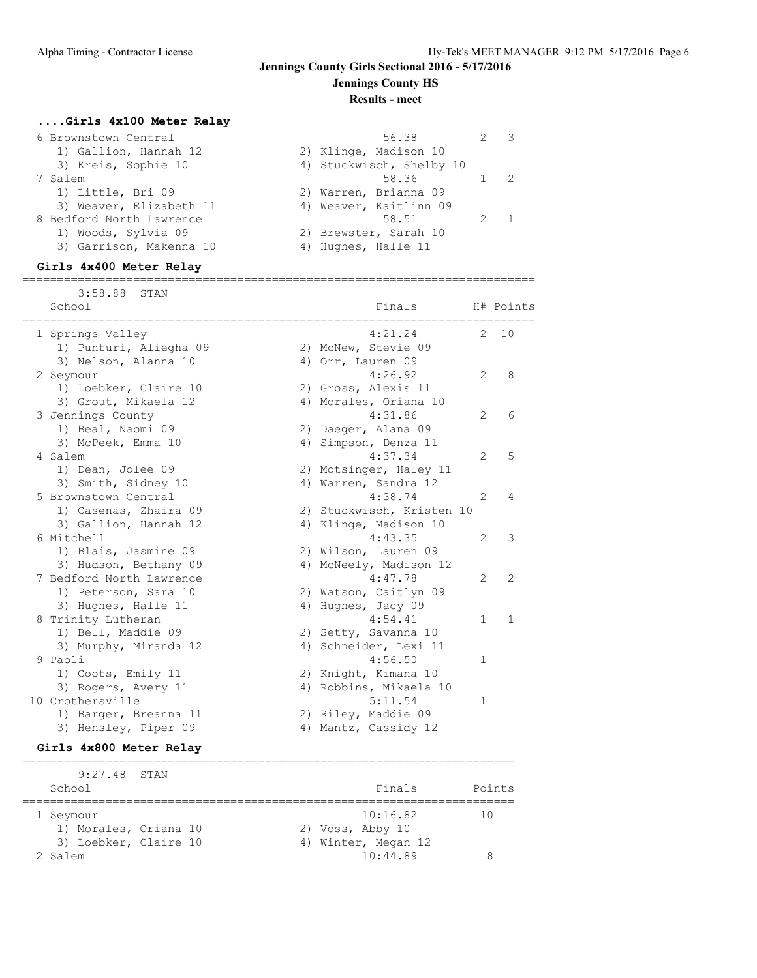**Jennings County HS**

#### **Results - meet**

## **....Girls 4x100 Meter Relay**

| 6 Brownstown Central     | 56.38                    | $2 \times 3$ |  |
|--------------------------|--------------------------|--------------|--|
| 1) Gallion, Hannah 12    | 2) Klinge, Madison 10    |              |  |
| 3) Kreis, Sophie 10      | 4) Stuckwisch, Shelby 10 |              |  |
| 7 Salem                  | 58.36                    | $1 \quad 2$  |  |
| 1) Little, Bri 09        | 2) Warren, Brianna 09    |              |  |
| 3) Weaver, Elizabeth 11  | 4) Weaver, Kaitlinn 09   |              |  |
| 8 Bedford North Lawrence | 58.51                    |              |  |
| 1) Woods, Sylvia 09      | 2) Brewster, Sarah 10    |              |  |
| 3) Garrison, Makenna 10  | 4) Hughes, Halle 11      |              |  |
|                          |                          |              |  |

### **Girls 4x400 Meter Relay**

==========================================================================

| 3:58.88<br>STAN<br>School | Finals                    |                | H# Points      |
|---------------------------|---------------------------|----------------|----------------|
| 1 Springs Valley          | 4:21.24                   | 2              | 10             |
| 1) Punturi, Aliegha 09    | 2) McNew, Stevie 09       |                |                |
| 3) Nelson, Alanna 10      | 4) Orr, Lauren 09         |                |                |
| 2 Seymour                 | 4:26.92                   | $\overline{2}$ | 8              |
| 1) Loebker, Claire 10     | 2) Gross, Alexis 11       |                |                |
| 3) Grout, Mikaela 12      | 4) Morales, Oriana 10     |                |                |
| 3 Jennings County         | 4:31.86                   | 2              | 6              |
| 1) Beal, Naomi 09         | 2) Daeger, Alana 09       |                |                |
| 3) McPeek, Emma 10        | 4) Simpson, Denza 11      |                |                |
| 4 Salem                   | 4:37.34                   | $\mathfrak{L}$ | 5              |
| 1) Dean, Jolee 09         | 2) Motsinger, Haley 11    |                |                |
| 3) Smith, Sidney 10       | 4) Warren, Sandra 12      |                |                |
| 5 Brownstown Central      | 4:38.74                   | $\mathcal{L}$  | 4              |
| 1) Casenas, Zhaira 09     | 2) Stuckwisch, Kristen 10 |                |                |
| 3) Gallion, Hannah 12     | 4) Klinge, Madison 10     |                |                |
| 6 Mitchell                | 4:43.35                   | $\mathfrak{L}$ | 3              |
| 1) Blais, Jasmine 09      | 2) Wilson, Lauren 09      |                |                |
| 3) Hudson, Bethany 09     | 4) McNeely, Madison 12    |                |                |
| 7 Bedford North Lawrence  | 4:47.78                   | $\overline{2}$ | $\overline{2}$ |
| 1) Peterson, Sara 10      | 2) Watson, Caitlyn 09     |                |                |
| 3) Hughes, Halle 11       | 4) Hughes, Jacy 09        |                |                |
| 8 Trinity Lutheran        | 4:54.41                   | $\mathbf{1}$   | 1              |
| 1) Bell, Maddie 09        | 2) Setty, Savanna 10      |                |                |
| 3) Murphy, Miranda 12     | 4) Schneider, Lexi 11     |                |                |
| 9 Paoli                   | 4:56.50                   | $\mathbf{1}$   |                |
| 1) Coots, Emily 11        | 2) Knight, Kimana 10      |                |                |
| 3) Rogers, Avery 11       | 4) Robbins, Mikaela 10    |                |                |
| 10 Crothersville          | 5:11.54                   | 1              |                |
| 1) Barger, Breanna 11     | 2) Riley, Maddie 09       |                |                |
| 3) Hensley, Piper 09      | 4) Mantz, Cassidy 12      |                |                |

# **Girls 4x800 Meter Relay**

======================================================================= 9:27.48 STAN School **Finals** Points ======================================================================= 1 Seymour 10:16.82 10 1) Morales, Oriana 10 2) Voss, Abby 10 3) Loebker, Claire 10 (4) Winter, Megan 12 2 Salem 2 3 and 2 3 and 2 3 and 2 3 and 3 and 3 and 3 and 3 and 3 and 3 and 3 and 3 and 3 and 3 and 3 and 3 and 3 and 3 and 3 and 3 and 3 and 3 and 3 and 3 and 3 and 3 and 3 and 3 and 3 and 3 and 3 and 3 and 3 and 3 and 3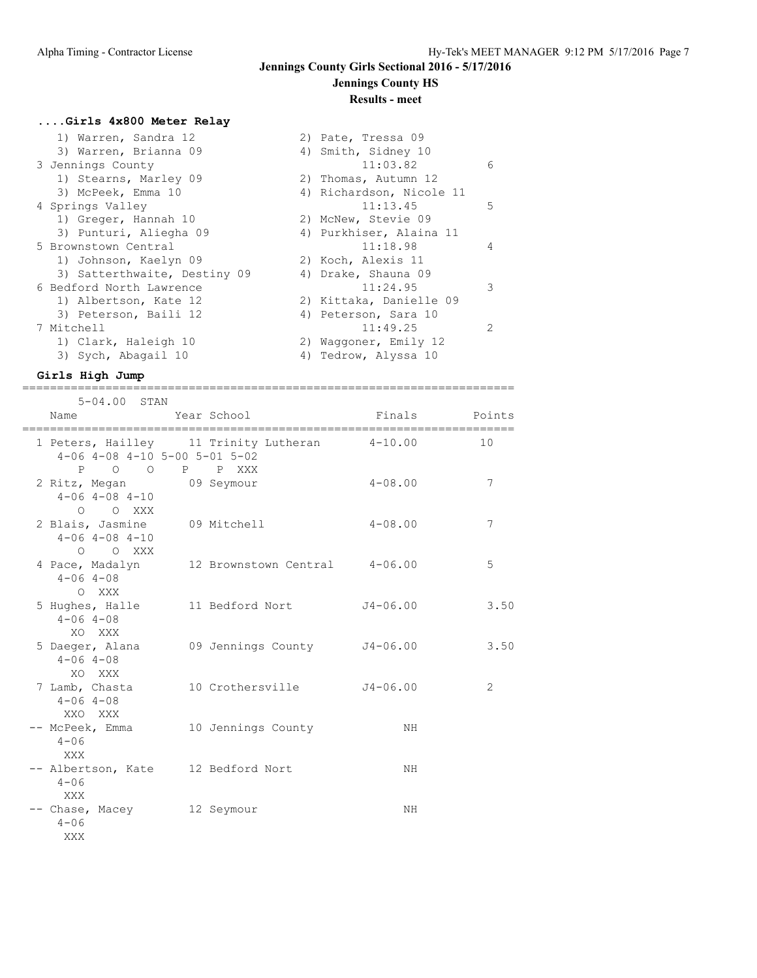## **Jennings County Girls Sectional 2016 - 5/17/2016 Jennings County HS**

## **Results - meet**

## **....Girls 4x800 Meter Relay**

| 1) Warren, Sandra 12         | 2) Pate, Tressa 09        |
|------------------------------|---------------------------|
| 3) Warren, Brianna 09        | 4) Smith, Sidney 10       |
| 3 Jennings County            | 11:03.82<br>6             |
| 1) Stearns, Marley 09        | 2) Thomas, Autumn 12      |
| 3) McPeek, Emma 10           | 4) Richardson, Nicole 11  |
| 4 Springs Valley             | 11:13.45<br>5             |
| 1) Greger, Hannah 10         | 2) McNew, Stevie 09       |
| 3) Punturi, Aliegha 09       | 4) Purkhiser, Alaina 11   |
| 5 Brownstown Central         | 11:18.98<br>4             |
| 1) Johnson, Kaelyn 09        | 2) Koch, Alexis 11        |
| 3) Satterthwaite, Destiny 09 | 4) Drake, Shauna 09       |
| 6 Bedford North Lawrence     | $\mathcal{L}$<br>11:24.95 |
| 1) Albertson, Kate 12        | 2) Kittaka, Danielle 09   |
| 3) Peterson, Baili 12        | 4) Peterson, Sara 10      |
| 7 Mitchell                   | 11:49.25<br>$\mathcal{L}$ |
| 1) Clark, Haleigh 10         | 2) Waggoner, Emily 12     |
| 3) Sych, Abagail 10          | 4) Tedrow, Alyssa 10      |

### **Girls High Jump** =======================================================================

| 5-04.00 STAN                                                                                   |                                                          |             |                |
|------------------------------------------------------------------------------------------------|----------------------------------------------------------|-------------|----------------|
| Name                                                                                           | Year School                                              | Finals      | Points         |
| $4-06$ $4-08$ $4-10$ $5-00$ $5-01$ $5-02$<br>$\begin{matrix} 0 & 0 \\ 0 & 0 \end{matrix}$<br>P | 1 Peters, Hailley 11 Trinity Lutheran 4-10.00<br>P P XXX |             | 10             |
| 2 Ritz, Megan 09 Seymour<br>$4 - 06$ $4 - 08$ $4 - 10$<br>O O XXX                              |                                                          | $4 - 08.00$ | 7              |
| 2 Blais, Jasmine 09 Mitchell<br>$4 - 06$ $4 - 08$ $4 - 10$<br>O O XXX                          |                                                          | $4 - 08.00$ | 7              |
| $4 - 06$ $4 - 08$<br>O XXX                                                                     | 4 Pace, Madalyn 12 Brownstown Central 4-06.00            |             | 5              |
| $4 - 06$ $4 - 08$<br>XO XXX                                                                    | 5 Hughes, Halle 11 Bedford Nort                          | J4-06.00    | 3.50           |
| $4 - 06$ $4 - 08$<br>XO XXX                                                                    | 5 Daeger, Alana 69 Jennings County 54-06.00              |             | 3.50           |
| $4 - 06$ $4 - 08$<br>XXO XXX                                                                   | 7 Lamb, Chasta 10 Crothersville J4-06.00                 |             | $\overline{2}$ |
| -- McPeek, Emma<br>$4 - 06$<br>XXX                                                             | 10 Jennings County                                       | NH          |                |
| -- Albertson, Kate 12 Bedford Nort<br>$4 - 06$<br>XXX                                          |                                                          | NH          |                |
| -- Chase, Macey 12 Seymour<br>$4 - 06$<br>XXX                                                  |                                                          | NH.         |                |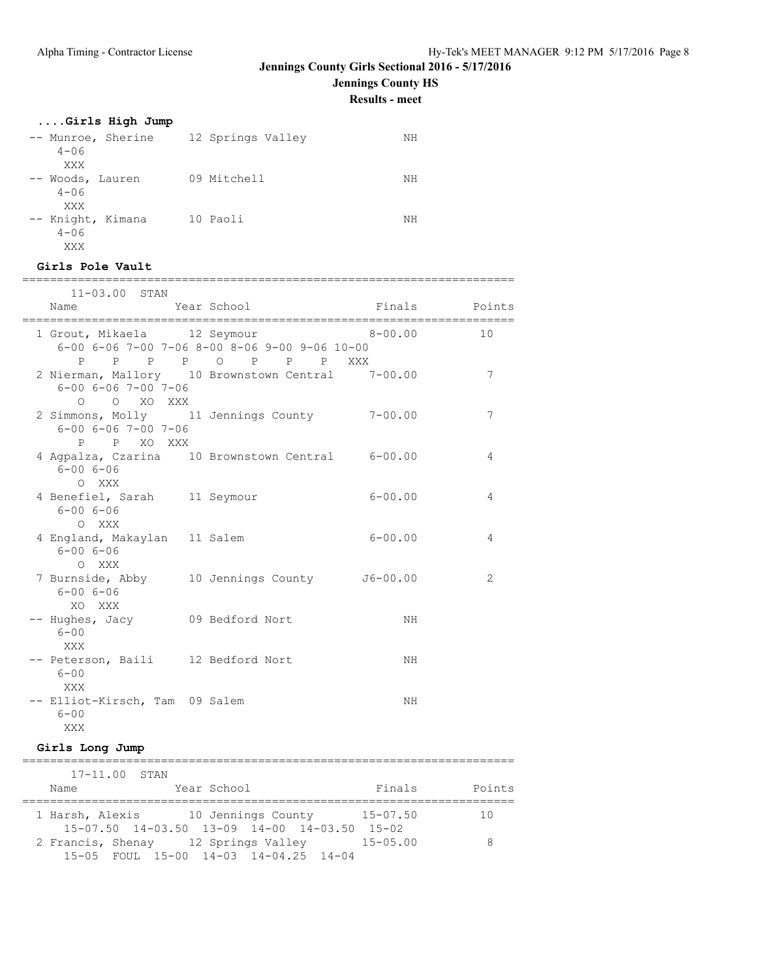**Jennings County HS**

**Results - meet**

## **....Girls High Jump**

| -- Munroe, Sherine<br>$4 - 06$<br>XXX | 12 Springs Valley | NΗ |
|---------------------------------------|-------------------|----|
| -- Woods, Lauren<br>$4 - 06$<br>XXX   | 09 Mitchell       | NΗ |
| -- Knight, Kimana<br>$4 - 06$<br>XXX  | 10 Paoli          | NΗ |

#### **Girls Pole Vault**

| =======                                                 |                                                                      |             |                 |
|---------------------------------------------------------|----------------------------------------------------------------------|-------------|-----------------|
| $11 - 03.00$ STAN                                       |                                                                      |             |                 |
| Name                                                    | Year School Finals Points                                            |             |                 |
| 1 Grout, Mikaela 12 Seymour                             | 6-00 6-06 7-00 7-06 8-00 8-06 9-00 9-06 10-00<br>P P P P O P P P XXX | $8 - 00.00$ | 10              |
| $6 - 00$ $6 - 06$ $7 - 00$ $7 - 06$<br>O O XO XXX       | 2 Nierman, Mallory 10 Brownstown Central 7-00.00                     |             | $7\phantom{.0}$ |
| $6 - 00$ $6 - 06$ $7 - 00$ $7 - 06$<br>P P XO XXX       | 2 Simmons, Molly 11 Jennings County 7-00.00                          |             | 7               |
| $6 - 006 - 06$<br>O XXX                                 | 4 Agpalza, Czarina 10 Brownstown Central 6-00.00                     |             | 4               |
| 4 Benefiel, Sarah 11 Seymour<br>$6 - 006 - 06$<br>O XXX |                                                                      | $6 - 00.00$ | 4               |
| 4 England, Makaylan 11 Salem<br>$6 - 006 - 06$<br>O XXX |                                                                      | $6 - 00.00$ | 4               |
| 6-00 6-06<br>XO XXX                                     | 7 Burnside, Abby 10 Jennings County J6-00.00                         |             | 2               |
| -- Hughes, Jacy 09 Bedford Nort<br>$6 - 00$<br>XXX      |                                                                      | NH          |                 |
| -- Peterson, Baili 12 Bedford Nort<br>$6 - 00$<br>XXX   |                                                                      | NH          |                 |
| -- Elliot-Kirsch, Tam 09 Salem<br>$6 - 00$<br>XXX       |                                                                      | NH          |                 |

## **Girls Long Jump**

|                   | $17 - 11.00$ STAN                                        |              |        |
|-------------------|----------------------------------------------------------|--------------|--------|
| Name              | Year School                                              | Finals       | Points |
|                   |                                                          |              |        |
| 1 Harsh, Alexis   | 10 Jennings County                                       | $15 - 07.50$ | 10     |
|                   | $15-07.50$ $14-03.50$ $13-09$ $14-00$ $14-03.50$ $15-02$ |              |        |
| 2 Francis, Shenay | 12 Springs Valley                                        | $15 - 05.00$ |        |
|                   | $15-05$ FOUL $15-00$ $14-03$ $14-04.25$ $14-04$          |              |        |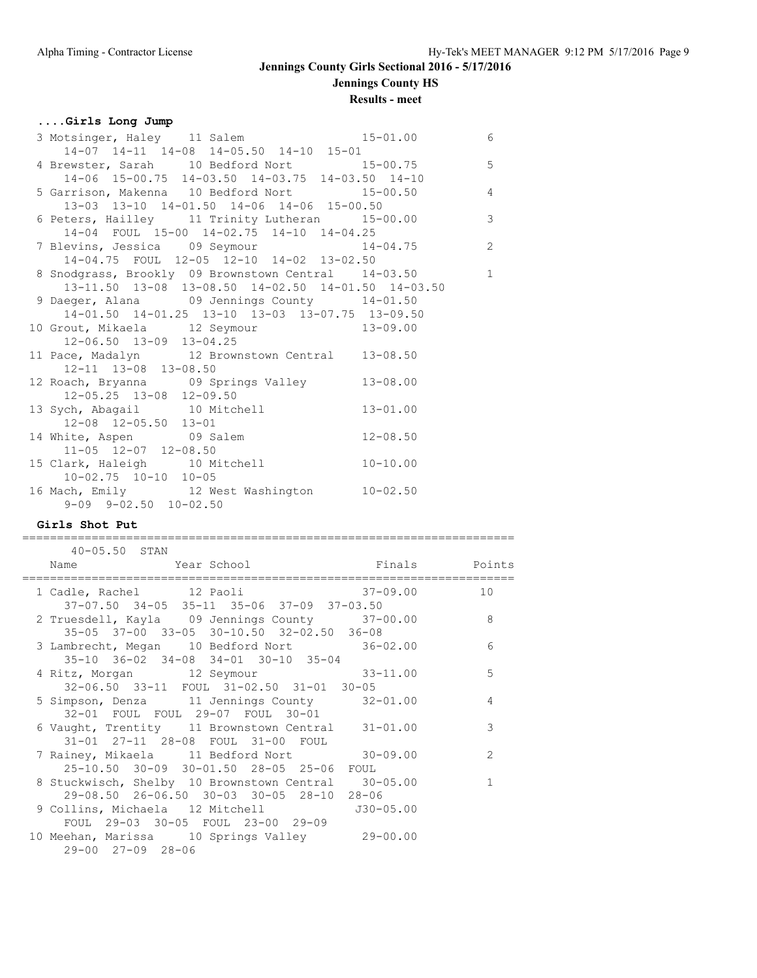## **Jennings County Girls Sectional 2016 - 5/17/2016 Jennings County HS**

#### **Results - meet**

### **....Girls Long Jump**

| 3 Motsinger, Haley 11 Salem 15-01.00 6                                                 |              |                |
|----------------------------------------------------------------------------------------|--------------|----------------|
| 14-07 14-11 14-08 14-05.50 14-10 15-01                                                 |              |                |
| 14-07 14-11 14-08 14-05.50 14-10 15-01<br>4 Brewster, Sarah 10 Bedford Nort 15-00.75 5 |              |                |
| 14-06 15-00.75 14-03.50 14-03.75 14-03.50 14-10                                        |              |                |
| 5 Garrison, Makenna 10 Bedford Nort 15-00.50 4                                         |              |                |
| 13-03 13-10 14-01.50 14-06 14-06 15-00.50                                              |              |                |
| 6 Peters, Hailley 11 Trinity Lutheran 15-00.00                                         |              | $\overline{3}$ |
| 14-04 FOUL 15-00 14-02.75 14-10 14-04.25                                               |              |                |
| 14-04 roul 15-00 14-02.75 14-10 14-04.25<br>7 Blevins, Jessica 09 Seymour 14-04.75 2   |              |                |
| 14-04.75 FOUL 12-05 12-10 14-02 13-02.50                                               |              |                |
| 8 Snodgrass, Brookly 09 Brownstown Central 14-03.50                                    |              | $\overline{1}$ |
| 13-11.50 13-08 13-08.50 14-02.50 14-01.50 14-03.50                                     |              |                |
| 9 Daeger, Alana 09 Jennings County 14-01.50                                            |              |                |
| 14-01.50 14-01.25 13-10 13-03 13-07.75 13-09.50                                        |              |                |
| 10 Grout, Mikaela 12 Seymour 13-09.00                                                  |              |                |
| $12 - 06.50$ $13 - 09$ $13 - 04.25$                                                    |              |                |
| 11 Pace, Madalyn 12 Brownstown Central 13-08.50                                        |              |                |
| 12-11 13-08 13-08.50                                                                   |              |                |
| 12 Roach, Bryanna 09 Springs Valley 13-08.00                                           |              |                |
| 12-05.25 13-08 12-09.50                                                                |              |                |
| 13 Sych, Abagail 10 Mitchell 13-01.00                                                  |              |                |
| 12-08 12-05.50 13-01                                                                   |              |                |
| 14 White, Aspen 09 Salem                                                               | $12 - 08.50$ |                |
| 11-05 12-07 12-08.50                                                                   |              |                |
| 15 Clark, Haleigh 10 Mitchell 10-10.00                                                 |              |                |
| $10-02.75$ $10-10$ $10-05$                                                             |              |                |
| 16 Mach, Emily 12 West Washington 10-02.50                                             |              |                |
| $9-09$ $9-02.50$ $10-02.50$                                                            |              |                |

#### **Girls Shot Put**

======================================================================= 40-05.50 STAN Name Year School Finals Points ======================================================================= 1 Cadle, Rachel 12 Paoli 37-09.00 10 37-07.50 34-05 35-11 35-06 37-09 37-03.50 2 Truesdell, Kayla 09 Jennings County 37-00.00 8 35-05 37-00 33-05 30-10.50 32-02.50 36-08 3 Lambrecht, Megan 10 Bedford Nort 36-02.00 6 35-10 36-02 34-08 34-01 30-10 35-04 4 Ritz, Morgan 12 Seymour 32-06.50 33-11 FOUL 31-02.50 31-01 30-05 5 Simpson, Denza 11 Jennings County 32-01.00 4 32-01 FOUL FOUL 29-07 FOUL 30-01 6 Vaught, Trentity 11 Brownstown Central 31-01.00 3 31-01 27-11 28-08 FOUL 31-00 FOUL 7 Rainey, Mikaela 11 Bedford Nort 30-09.00 2 25-10.50 30-09 30-01.50 28-05 25-06 FOUL 8 Stuckwisch, Shelby 10 Brownstown Central 30-05.00 1 29-08.50 26-06.50 30-03 30-05 28-10 28-06<br>9 Collins, Michaela 12 Mitchell 300-0 9 Collins, Michaela 12 Mitchell J30-05.00 FOUL 29-03 30-05 FOUL 23-00 29-09 10 Meehan, Marissa 10 Springs Valley 29-00.00 29-00 27-09 28-06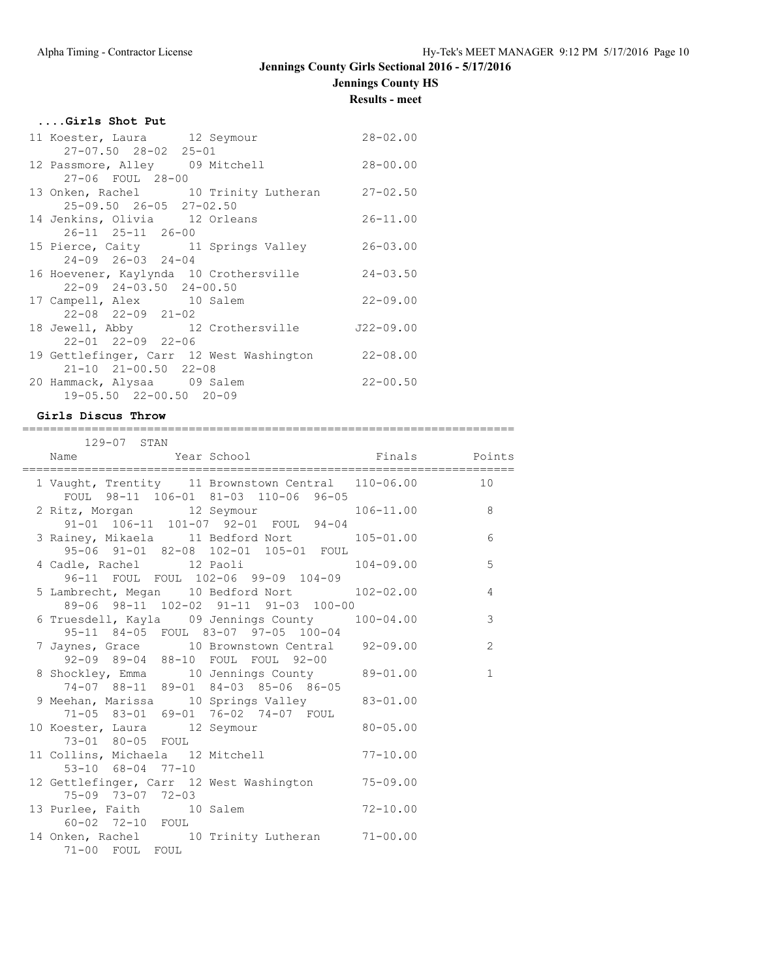## **Jennings County HS**

**Results - meet**

### **....Girls Shot Put**

| 11 Koester, Laura 12 Seymour        |                                                 | $28 - 02.00$ |
|-------------------------------------|-------------------------------------------------|--------------|
| 27-07.50 28-02 25-01                |                                                 |              |
|                                     | 12 Passmore, Alley 09 Mitchell                  | $28 - 00.00$ |
| 27-06 FOUL 28-00                    |                                                 |              |
|                                     | 13 Onken, Rachel 10 Trinity Lutheran            | $27 - 02.50$ |
| 25-09.50 26-05 27-02.50             |                                                 |              |
| 14 Jenkins, Olivia 12 Orleans       |                                                 | $26 - 11.00$ |
| 26-11 25-11 26-00                   |                                                 |              |
|                                     | 15 Pierce, Caity 11 Springs Valley              | $26 - 03.00$ |
| $24 - 09$ $26 - 03$ $24 - 04$       |                                                 |              |
|                                     | 16 Hoevener, Kaylynda 10 Crothersville 24-03.50 |              |
| $22 - 09$ $24 - 03.50$ $24 - 00.50$ |                                                 |              |
| 17 Campell, Alex 10 Salem           |                                                 | $22 - 09.00$ |
| $22 - 08$ $22 - 09$ $21 - 02$       |                                                 |              |
|                                     | 18 Jewell, Abby 12 Crothersville 522-09.00      |              |
| 22-01 22-09 22-06                   |                                                 |              |
|                                     | 19 Gettlefinger, Carr 12 West Washington        | $22 - 08.00$ |
| $21-10$ $21-00.50$ $22-08$          |                                                 |              |
| 20 Hammack, Alysaa 09 Salem         |                                                 | $22 - 00.50$ |
| 19-05.50 22-00.50 20-09             |                                                 |              |
|                                     |                                                 |              |

### **Girls Discus Throw**

| :================<br>129-07 STAN                                                              |              |
|-----------------------------------------------------------------------------------------------|--------------|
| Name Year School Finals Points                                                                |              |
| 1 Vaught, Trentity 11 Brownstown Central 110-06.00 10<br>FOUL 98-11 106-01 81-03 110-06 96-05 |              |
| 2 Ritz, Morgan 12 Seymour 106-11.00 8<br>91-01 106-11 101-07 92-01 FOUL 94-04                 |              |
| 3 Rainey, Mikaela 11 Bedford Nort 105-01.00<br>95-06 91-01 82-08 102-01 105-01 FOUL           | 6            |
| 4 Cadle, Rachel 12 Paoli 104-09.00<br>96-11 FOUL FOUL 102-06 99-09 104-09                     | 5            |
| 5 Lambrecht, Megan 10 Bedford Nort 102-02.00 4<br>89-06 98-11 102-02 91-11 91-03 100-00       |              |
| 6 Truesdell, Kayla 09 Jennings County 100-04.00<br>95-11 84-05 FOUL 83-07 97-05 100-04        | $\mathsf 3$  |
| 7 Jaynes, Grace 10 Brownstown Central 92-09.00<br>92-09 89-04 88-10 FOUL FOUL 92-00           | 2            |
| 8 Shockley, Emma 10 Jennings County 89-01.00<br>74-07 88-11 89-01 84-03 85-06 86-05           | $\mathbf{1}$ |
| 9 Meehan, Marissa 10 Springs Valley 83-01.00<br>71-05 83-01 69-01 76-02 74-07 FOUL            |              |
| 10 Koester, Laura 12 Seymour 80-05.00<br>73-01 80-05 FOUL                                     |              |
| 11 Collins, Michaela 12 Mitchell 77-10.00<br>53-10 68-04 77-10                                |              |
| 12 Gettlefinger, Carr 12 West Washington 75-09.00<br>75-09 73-07 72-03                        |              |
| 13 Purlee, Faith 10 Salem 10 72-10.00<br>60-02 72-10 FOUL                                     |              |
| 14 Onken, Rachel 10 Trinity Lutheran 71-00.00<br>71-00 FOUL FOUL                              |              |